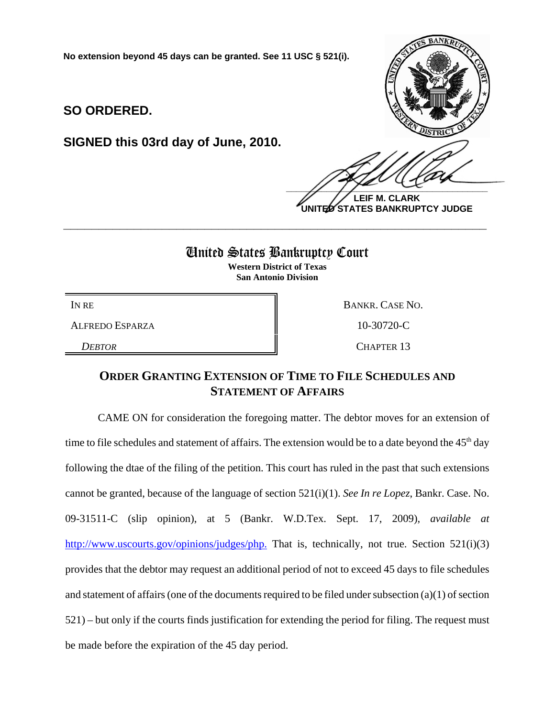**No extension beyond 45 days can be granted. See 11 USC § 521(i).**

**SO ORDERED.**

**SIGNED this 03rd day of June, 2010.**



**LEIF M. CLARK UNITED STATES BANKRUPTCY JUDGE**

## United States Bankruptcy Court

**\_\_\_\_\_\_\_\_\_\_\_\_\_\_\_\_\_\_\_\_\_\_\_\_\_\_\_\_\_\_\_\_\_\_\_\_\_\_\_\_\_\_\_\_\_\_\_\_\_\_\_\_\_\_\_\_\_\_\_\_**

**Western District of Texas San Antonio Division**

ALFREDO ESPARZA  $\parallel$  10-30720-C

IN RE BANKR. CASE NO. *DEBTOR* CHAPTER 13

## **ORDER GRANTING EXTENSION OF TIME TO FILE SCHEDULES AND STATEMENT OF AFFAIRS**

CAME ON for consideration the foregoing matter. The debtor moves for an extension of time to file schedules and statement of affairs. The extension would be to a date beyond the 45<sup>th</sup> day following the dtae of the filing of the petition. This court has ruled in the past that such extensions cannot be granted, because of the language of section 521(i)(1). *See In re Lopez*, Bankr. Case. No. 09-31511-C (slip opinion), at 5 (Bankr. W.D.Tex. Sept. 17, 2009), *available at* http://www.uscourts.gov/opinions/judges/php. That is, technically, not true. Section 521(i)(3) provides that the debtor may request an additional period of not to exceed 45 days to file schedules and statement of affairs (one of the documents required to be filed under subsection (a)(1) of section 521) – but only if the courts finds justification for extending the period for filing. The request must be made before the expiration of the 45 day period.